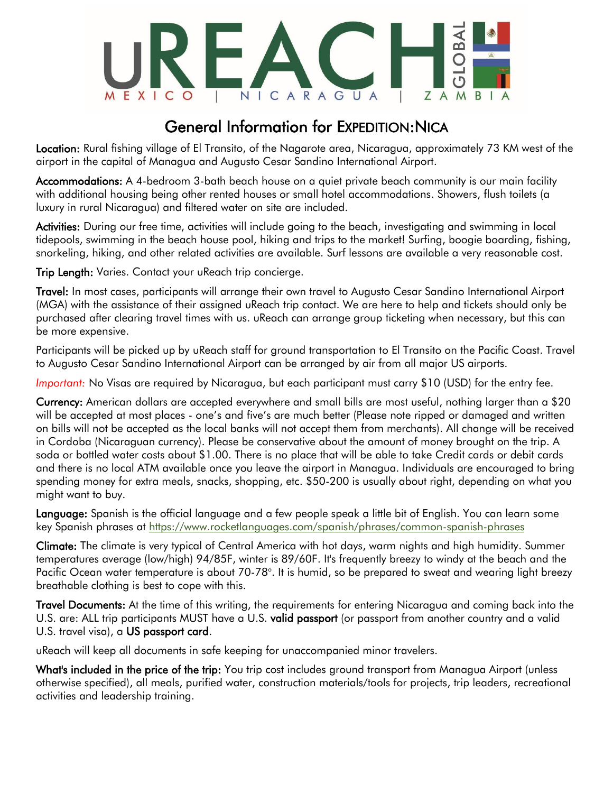

### General Information for EXPEDITION:NICA

Location: Rural fishing village of El Transito, of the Nagarote area, Nicaragua, approximately 73 KM west of the airport in the capital of Managua and Augusto Cesar Sandino International Airport.

Accommodations: A 4-bedroom 3-bath beach house on a quiet private beach community is our main facility with additional housing being other rented houses or small hotel accommodations. Showers, flush toilets (a luxury in rural Nicaragua) and filtered water on site are included.

Activities: During our free time, activities will include going to the beach, investigating and swimming in local tidepools, swimming in the beach house pool, hiking and trips to the market! Surfing, boogie boarding, fishing, snorkeling, hiking, and other related activities are available. Surf lessons are available a very reasonable cost.

Trip Length: Varies. Contact your uReach trip concierge.

Travel: In most cases, participants will arrange their own travel to Augusto Cesar Sandino International Airport (MGA) with the assistance of their assigned uReach trip contact. We are here to help and tickets should only be purchased after clearing travel times with us. uReach can arrange group ticketing when necessary, but this can be more expensive.

Participants will be picked up by uReach staff for ground transportation to El Transito on the Pacific Coast. Travel to Augusto Cesar Sandino International Airport can be arranged by air from all major US airports.

*Important:* No Visas are required by Nicaragua, but each participant must carry \$10 (USD) for the entry fee.

Currency: American dollars are accepted everywhere and small bills are most useful, nothing larger than a \$20 will be accepted at most places - one's and five's are much better (Please note ripped or damaged and written on bills will not be accepted as the local banks will not accept them from merchants). All change will be received in Cordoba (Nicaraguan currency). Please be conservative about the amount of money brought on the trip. A soda or bottled water costs about \$1.00. There is no place that will be able to take Credit cards or debit cards and there is no local ATM available once you leave the airport in Managua. Individuals are encouraged to bring spending money for extra meals, snacks, shopping, etc. \$50-200 is usually about right, depending on what you might want to buy.

Language: Spanish is the official language and a few people speak a little bit of English. You can learn some key Spanish phrases at<https://www.rocketlanguages.com/spanish/phrases/common-spanish-phrases>

Climate: The climate is very typical of Central America with hot days, warm nights and high humidity. Summer temperatures average (low/high) 94/85F, winter is 89/60F. It's frequently breezy to windy at the beach and the Pacific Ocean water temperature is about 70-78°. It is humid, so be prepared to sweat and wearing light breezy breathable clothing is best to cope with this.

Travel Documents: At the time of this writing, the requirements for entering Nicaragua and coming back into the U.S. are: ALL trip participants MUST have a U.S. valid passport (or passport from another country and a valid U.S. travel visa), a US passport card.

uReach will keep all documents in safe keeping for unaccompanied minor travelers.

What's included in the price of the trip: You trip cost includes ground transport from Managua Airport (unless otherwise specified), all meals, purified water, construction materials/tools for projects, trip leaders, recreational activities and leadership training.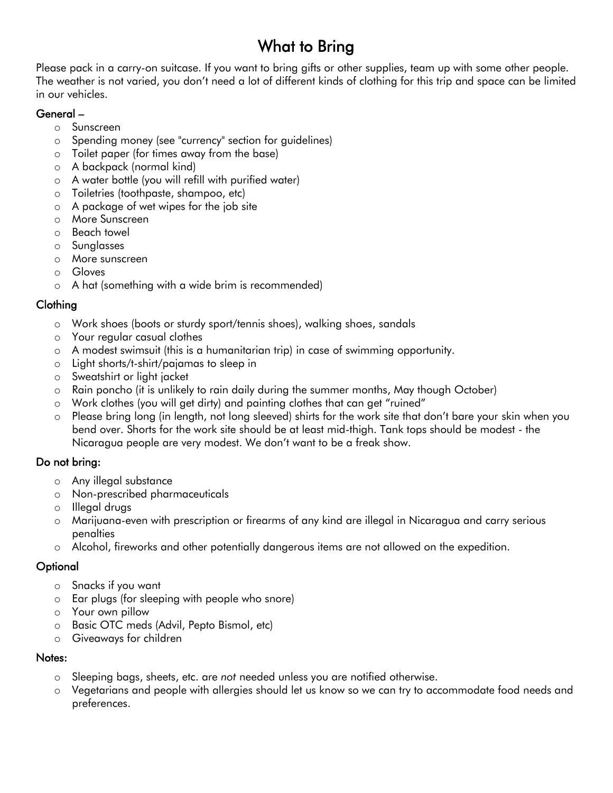## What to Bring

Please pack in a carry-on suitcase. If you want to bring gifts or other supplies, team up with some other people. The weather is not varied, you don't need a lot of different kinds of clothing for this trip and space can be limited in our vehicles.

#### General –

- o Sunscreen
- o Spending money (see "currency" section for guidelines)
- o Toilet paper (for times away from the base)
- o A backpack (normal kind)
- o A water bottle (you will refill with purified water)
- o Toiletries (toothpaste, shampoo, etc)
- o A package of wet wipes for the job site
- o More Sunscreen
- o Beach towel
- o Sunglasses
- o More sunscreen
- o Gloves
- o A hat (something with a wide brim is recommended)

### Clothing

- o Work shoes (boots or sturdy sport/tennis shoes), walking shoes, sandals
- o Your regular casual clothes
- o A modest swimsuit (this is a humanitarian trip) in case of swimming opportunity.
- o Light shorts/t-shirt/pajamas to sleep in
- o Sweatshirt or light jacket
- o Rain poncho (it is unlikely to rain daily during the summer months, May though October)
- o Work clothes (you will get dirty) and painting clothes that can get "ruined"
- o Please bring long (in length, not long sleeved) shirts for the work site that don't bare your skin when you bend over. Shorts for the work site should be at least mid-thigh. Tank tops should be modest - the Nicaragua people are very modest. We don't want to be a freak show.

#### Do not bring:

- o Any illegal substance
- o Non-prescribed pharmaceuticals
- o Illegal drugs
- o Marijuana-even with prescription or firearms of any kind are illegal in Nicaragua and carry serious penalties
- o Alcohol, fireworks and other potentially dangerous items are not allowed on the expedition.

#### **Optional**

- o Snacks if you want
- o Ear plugs (for sleeping with people who snore)
- o Your own pillow
- o Basic OTC meds (Advil, Pepto Bismol, etc)
- o Giveaways for children

#### Notes:

- o Sleeping bags, sheets, etc. are *not* needed unless you are notified otherwise.
- o Vegetarians and people with allergies should let us know so we can try to accommodate food needs and preferences.